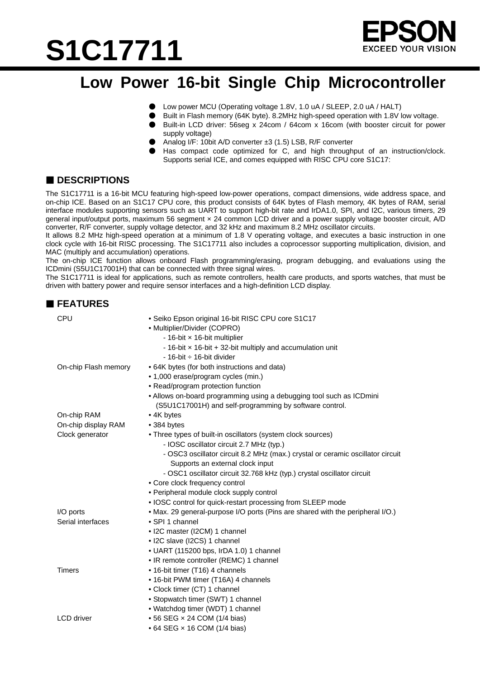# **S1C17711**



### **Low Power 16-bit Single Chip Microcontroller**

- Low power MCU (Operating voltage 1.8V, 1.0 uA / SLEEP, 2.0 uA / HALT)
- Built in Flash memory (64K byte). 8.2MHz high-speed operation with 1.8V low voltage.
- Built-in LCD driver: 56seg x 24com / 64com x 16com (with booster circuit for power supply voltage)
- Analog I/F: 10bit A/D converter ±3 (1.5) LSB, R/F converter
- Has compact code optimized for C, and high throughput of an instruction/clock. Supports serial ICE, and comes equipped with RISC CPU core S1C17:

### ■ **DESCRIPTIONS**

The S1C17711 is a 16-bit MCU featuring high-speed low-power operations, compact dimensions, wide address space, and on-chip ICE. Based on an S1C17 CPU core, this product consists of 64K bytes of Flash memory, 4K bytes of RAM, serial interface modules supporting sensors such as UART to support high-bit rate and IrDA1.0, SPI, and I2C, various timers, 29 general input/output ports, maximum 56 segment × 24 common LCD driver and a power supply voltage booster circuit, A/D converter, R/F converter, supply voltage detector, and 32 kHz and maximum 8.2 MHz oscillator circuits.

It allows 8.2 MHz high-speed operation at a minimum of 1.8 V operating voltage, and executes a basic instruction in one clock cycle with 16-bit RISC processing. The S1C17711 also includes a coprocessor supporting multiplication, division, and MAC (multiply and accumulation) operations.

The on-chip ICE function allows onboard Flash programming/erasing, program debugging, and evaluations using the ICDmini (S5U1C17001H) that can be connected with three signal wires.

The S1C17711 is ideal for applications, such as remote controllers, health care products, and sports watches, that must be driven with battery power and require sensor interfaces and a high-definition LCD display.

| <b>FEATURES</b>      |                                                                                                                                                                                                                                                                                                                                                                                                                                                       |
|----------------------|-------------------------------------------------------------------------------------------------------------------------------------------------------------------------------------------------------------------------------------------------------------------------------------------------------------------------------------------------------------------------------------------------------------------------------------------------------|
| CPU                  | • Seiko Epson original 16-bit RISC CPU core S1C17<br>• Multiplier/Divider (COPRO)<br>- 16-bit x 16-bit multiplier<br>- 16-bit $\times$ 16-bit + 32-bit multiply and accumulation unit<br>$-16$ -bit $\div 16$ -bit divider                                                                                                                                                                                                                            |
| On-chip Flash memory | • 64K bytes (for both instructions and data)<br>• 1,000 erase/program cycles (min.)<br>• Read/program protection function<br>• Allows on-board programming using a debugging tool such as ICDmini<br>(S5U1C17001H) and self-programming by software control.                                                                                                                                                                                          |
| On-chip RAM          | • 4K bytes                                                                                                                                                                                                                                                                                                                                                                                                                                            |
| On-chip display RAM  | • 384 bytes                                                                                                                                                                                                                                                                                                                                                                                                                                           |
| Clock generator      | • Three types of built-in oscillators (system clock sources)<br>- IOSC oscillator circuit 2.7 MHz (typ.)<br>- OSC3 oscillator circuit 8.2 MHz (max.) crystal or ceramic oscillator circuit<br>Supports an external clock input<br>- OSC1 oscillator circuit 32.768 kHz (typ.) crystal oscillator circuit<br>• Core clock frequency control<br>• Peripheral module clock supply control<br>• IOSC control for quick-restart processing from SLEEP mode |
| I/O ports            | • Max. 29 general-purpose I/O ports (Pins are shared with the peripheral I/O.)                                                                                                                                                                                                                                                                                                                                                                        |
| Serial interfaces    | • SPI 1 channel<br>• I2C master (I2CM) 1 channel<br>· I2C slave (I2CS) 1 channel<br>• UART (115200 bps, IrDA 1.0) 1 channel<br>• IR remote controller (REMC) 1 channel                                                                                                                                                                                                                                                                                |
| <b>Timers</b>        | • 16-bit timer (T16) 4 channels<br>• 16-bit PWM timer (T16A) 4 channels<br>• Clock timer (CT) 1 channel<br>• Stopwatch timer (SWT) 1 channel<br>• Watchdog timer (WDT) 1 channel                                                                                                                                                                                                                                                                      |
| <b>LCD</b> driver    | • 56 SEG × 24 COM (1/4 bias)<br>• 64 SEG × 16 COM (1/4 bias)                                                                                                                                                                                                                                                                                                                                                                                          |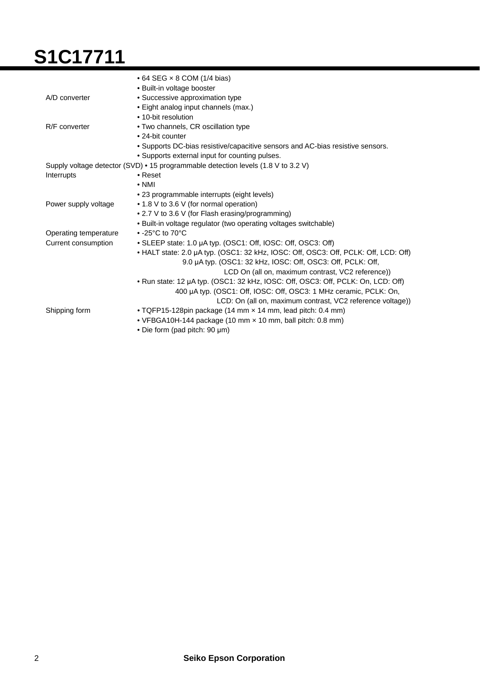# **S1C17711**

|                                                                                   | $\bullet$ 64 SEG $\times$ 8 COM (1/4 bias)                                          |
|-----------------------------------------------------------------------------------|-------------------------------------------------------------------------------------|
|                                                                                   | • Built-in voltage booster                                                          |
| A/D converter                                                                     | • Successive approximation type                                                     |
|                                                                                   | • Eight analog input channels (max.)                                                |
|                                                                                   | • 10-bit resolution                                                                 |
| R/F converter                                                                     | • Two channels, CR oscillation type                                                 |
|                                                                                   | • 24-bit counter                                                                    |
|                                                                                   | • Supports DC-bias resistive/capacitive sensors and AC-bias resistive sensors.      |
|                                                                                   | • Supports external input for counting pulses.                                      |
| Supply voltage detector (SVD) • 15 programmable detection levels (1.8 V to 3.2 V) |                                                                                     |
| Interrupts                                                                        | $\bullet$ Reset                                                                     |
|                                                                                   | $\bullet$ NMI                                                                       |
|                                                                                   | • 23 programmable interrupts (eight levels)                                         |
| Power supply voltage                                                              | • 1.8 V to 3.6 V (for normal operation)                                             |
|                                                                                   | • 2.7 V to 3.6 V (for Flash erasing/programming)                                    |
|                                                                                   | . Built-in voltage regulator (two operating voltages switchable)                    |
| Operating temperature                                                             | $\bullet$ -25°C to 70°C                                                             |
| Current consumption                                                               | • SLEEP state: 1.0 µA typ. (OSC1: Off, IOSC: Off, OSC3: Off)                        |
|                                                                                   | • HALT state: 2.0 µA typ. (OSC1: 32 kHz, IOSC: Off, OSC3: Off, PCLK: Off, LCD: Off) |
|                                                                                   | 9.0 µA typ. (OSC1: 32 kHz, IOSC: Off, OSC3: Off, PCLK: Off,                         |
|                                                                                   | LCD On (all on, maximum contrast, VC2 reference))                                   |
|                                                                                   | . Run state: 12 µA typ. (OSC1: 32 kHz, IOSC: Off, OSC3: Off, PCLK: On, LCD: Off)    |
|                                                                                   | 400 µA typ. (OSC1: Off, IOSC: Off, OSC3: 1 MHz ceramic, PCLK: On,                   |
|                                                                                   | LCD: On (all on, maximum contrast, VC2 reference voltage))                          |
| Shipping form                                                                     | . TQFP15-128pin package (14 mm x 14 mm, lead pitch: 0.4 mm)                         |
|                                                                                   | • VFBGA10H-144 package (10 mm x 10 mm, ball pitch: 0.8 mm)                          |
|                                                                                   | • Die form (pad pitch: 90 µm)                                                       |
|                                                                                   |                                                                                     |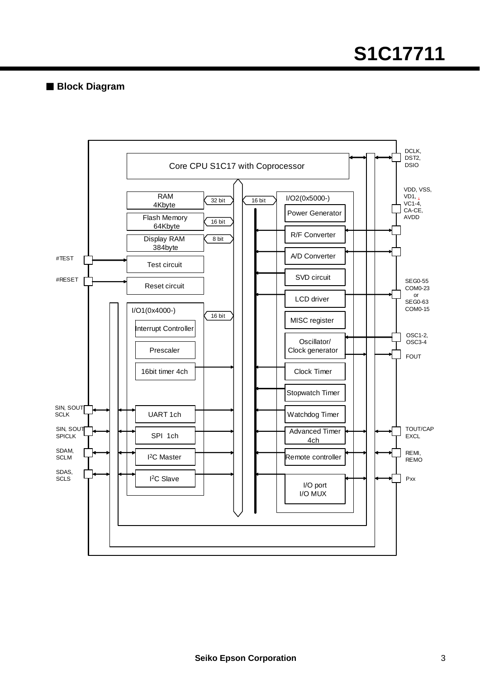## **S1C17711**

**Block Diagram**